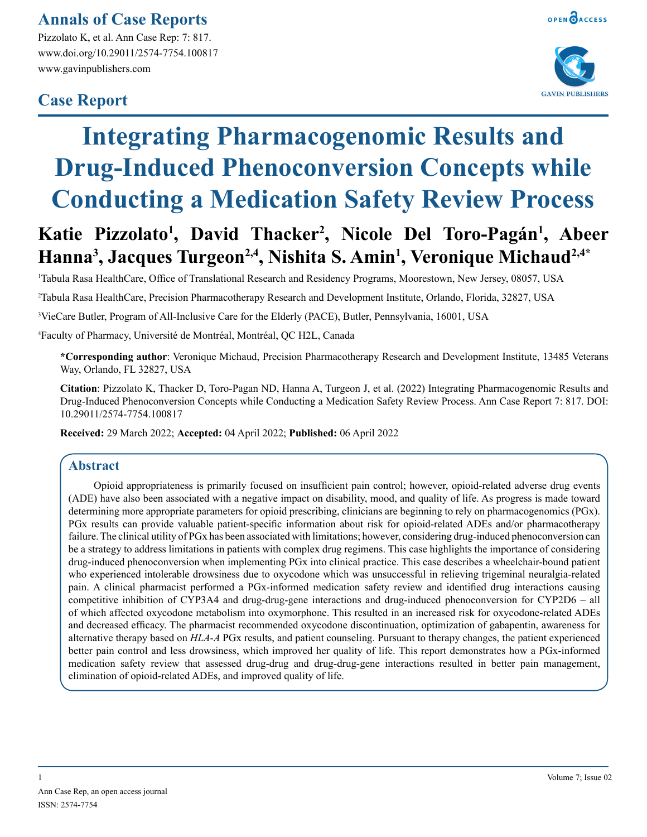# **Annals of Case Reports**

Pizzolato K, et al. Ann Case Rep: 7: 817. www.doi.org/10.29011/2574-7754.100817 www.gavinpublishers.com

# **Case Report**



# **Integrating Pharmacogenomic Results and Drug-Induced Phenoconversion Concepts while Conducting a Medication Safety Review Process**

# **Katie Pizzolato1 , David Thacker2 , Nicole Del Toro-Pagán1 , Abeer Hanna3 , Jacques Turgeon2,4, Nishita S. Amin1 , Veronique Michaud2,4\***

1 Tabula Rasa HealthCare, Office of Translational Research and Residency Programs, Moorestown, New Jersey, 08057, USA

2 Tabula Rasa HealthCare, Precision Pharmacotherapy Research and Development Institute, Orlando, Florida, 32827, USA

3 VieCare Butler, Program of All-Inclusive Care for the Elderly (PACE), Butler, Pennsylvania, 16001, USA

4 Faculty of Pharmacy, Université de Montréal, Montréal, QC H2L, Canada

**\*Corresponding author**: Veronique Michaud, Precision Pharmacotherapy Research and Development Institute, 13485 Veterans Way, Orlando, FL 32827, USA

**Citation**: Pizzolato K, Thacker D, Toro-Pagan ND, Hanna A, Turgeon J, et al. (2022) Integrating Pharmacogenomic Results and Drug-Induced Phenoconversion Concepts while Conducting a Medication Safety Review Process. Ann Case Report 7: 817. DOI: 10.29011/2574-7754.100817

**Received:** 29 March 2022; **Accepted:** 04 April 2022; **Published:** 06 April 2022

## **Abstract**

Opioid appropriateness is primarily focused on insufficient pain control; however, opioid-related adverse drug events (ADE) have also been associated with a negative impact on disability, mood, and quality of life. As progress is made toward determining more appropriate parameters for opioid prescribing, clinicians are beginning to rely on pharmacogenomics (PGx). PGx results can provide valuable patient-specific information about risk for opioid-related ADEs and/or pharmacotherapy failure. The clinical utility of PGx has been associated with limitations; however, considering drug-induced phenoconversion can be a strategy to address limitations in patients with complex drug regimens. This case highlights the importance of considering drug-induced phenoconversion when implementing PGx into clinical practice. This case describes a wheelchair-bound patient who experienced intolerable drowsiness due to oxycodone which was unsuccessful in relieving trigeminal neuralgia-related pain. A clinical pharmacist performed a PGx-informed medication safety review and identified drug interactions causing competitive inhibition of CYP3A4 and drug-drug-gene interactions and drug-induced phenoconversion for CYP2D6 – all of which affected oxycodone metabolism into oxymorphone. This resulted in an increased risk for oxycodone-related ADEs and decreased efficacy. The pharmacist recommended oxycodone discontinuation, optimization of gabapentin, awareness for alternative therapy based on *HLA-A* PGx results, and patient counseling. Pursuant to therapy changes, the patient experienced better pain control and less drowsiness, which improved her quality of life. This report demonstrates how a PGx-informed medication safety review that assessed drug-drug and drug-drug-gene interactions resulted in better pain management, elimination of opioid-related ADEs, and improved quality of life.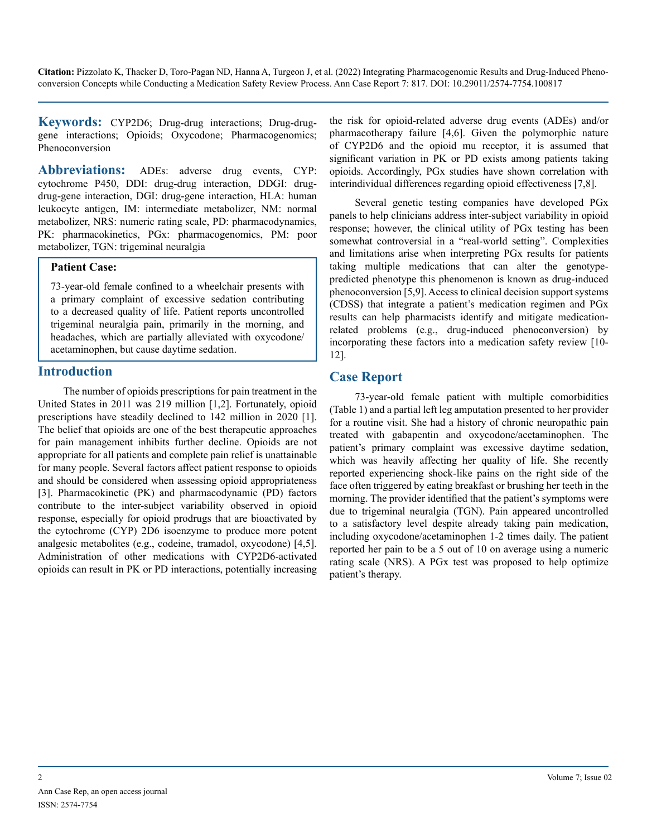**Keywords:** CYP2D6; Drug-drug interactions; Drug-druggene interactions; Opioids; Oxycodone; Pharmacogenomics; Phenoconversion

**Abbreviations:** ADEs: adverse drug events, CYP: cytochrome P450, DDI: drug-drug interaction, DDGI: drugdrug-gene interaction, DGI: drug-gene interaction, HLA: human leukocyte antigen, IM: intermediate metabolizer, NM: normal metabolizer, NRS: numeric rating scale, PD: pharmacodynamics, PK: pharmacokinetics, PGx: pharmacogenomics, PM: poor metabolizer, TGN: trigeminal neuralgia

#### **Patient Case:**

73-year-old female confined to a wheelchair presents with a primary complaint of excessive sedation contributing to a decreased quality of life. Patient reports uncontrolled trigeminal neuralgia pain, primarily in the morning, and headaches, which are partially alleviated with oxycodone/ acetaminophen, but cause daytime sedation.

#### **Introduction**

The number of opioids prescriptions for pain treatment in the United States in 2011 was 219 million [1,2]. Fortunately, opioid prescriptions have steadily declined to 142 million in 2020 [1]. The belief that opioids are one of the best therapeutic approaches for pain management inhibits further decline. Opioids are not appropriate for all patients and complete pain relief is unattainable for many people. Several factors affect patient response to opioids and should be considered when assessing opioid appropriateness [3]. Pharmacokinetic (PK) and pharmacodynamic (PD) factors contribute to the inter-subject variability observed in opioid response, especially for opioid prodrugs that are bioactivated by the cytochrome (CYP) 2D6 isoenzyme to produce more potent analgesic metabolites (e.g., codeine, tramadol, oxycodone) [4,5]. Administration of other medications with CYP2D6-activated opioids can result in PK or PD interactions, potentially increasing the risk for opioid-related adverse drug events (ADEs) and/or pharmacotherapy failure [4,6]. Given the polymorphic nature of CYP2D6 and the opioid mu receptor, it is assumed that significant variation in PK or PD exists among patients taking opioids. Accordingly, PGx studies have shown correlation with interindividual differences regarding opioid effectiveness [7,8].

Several genetic testing companies have developed PGx panels to help clinicians address inter-subject variability in opioid response; however, the clinical utility of PGx testing has been somewhat controversial in a "real-world setting". Complexities and limitations arise when interpreting PGx results for patients taking multiple medications that can alter the genotypepredicted phenotype this phenomenon is known as drug-induced phenoconversion [5,9]. Access to clinical decision support systems (CDSS) that integrate a patient's medication regimen and PGx results can help pharmacists identify and mitigate medicationrelated problems (e.g., drug-induced phenoconversion) by incorporating these factors into a medication safety review [10- 12].

## **Case Report**

73-year-old female patient with multiple comorbidities (Table 1) and a partial left leg amputation presented to her provider for a routine visit. She had a history of chronic neuropathic pain treated with gabapentin and oxycodone/acetaminophen. The patient's primary complaint was excessive daytime sedation, which was heavily affecting her quality of life. She recently reported experiencing shock-like pains on the right side of the face often triggered by eating breakfast or brushing her teeth in the morning. The provider identified that the patient's symptoms were due to trigeminal neuralgia (TGN). Pain appeared uncontrolled to a satisfactory level despite already taking pain medication, including oxycodone/acetaminophen 1-2 times daily. The patient reported her pain to be a 5 out of 10 on average using a numeric rating scale (NRS). A PGx test was proposed to help optimize patient's therapy.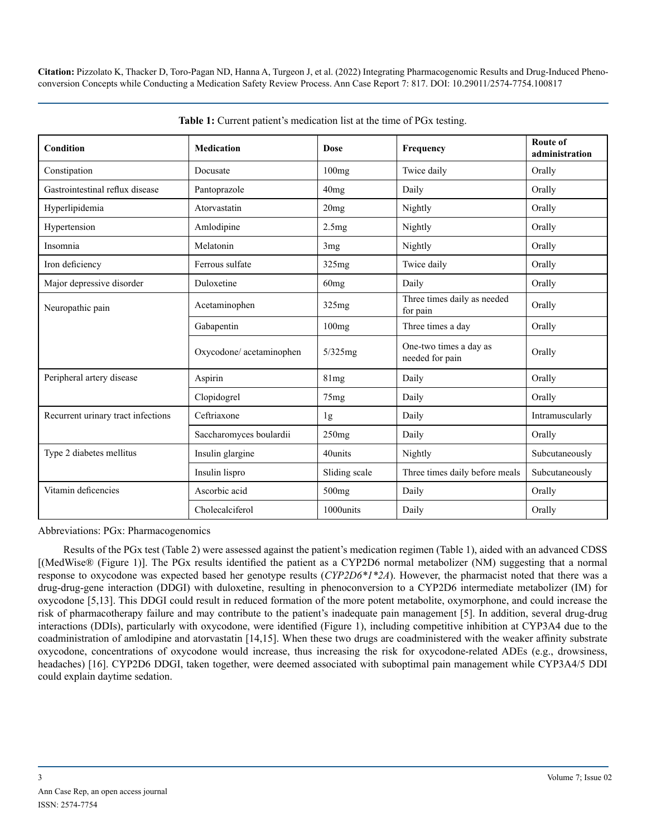| Condition                          | <b>Medication</b>        | <b>Dose</b>     | Frequency                                 | Route of<br>administration |
|------------------------------------|--------------------------|-----------------|-------------------------------------------|----------------------------|
| Constipation                       | Docusate                 | 100mg           | Twice daily                               | Orally                     |
| Gastrointestinal reflux disease    | Pantoprazole             | 40mg            | Daily                                     | Orally                     |
| Hyperlipidemia                     | Atorvastatin             | 20mg            | Nightly                                   | Orally                     |
| Hypertension                       | Amlodipine               | 2.5mg           | Nightly                                   | Orally                     |
| Insomnia                           | Melatonin                | 3 <sub>mg</sub> | Nightly                                   | Orally                     |
| Iron deficiency                    | Ferrous sulfate          | 325mg           | Twice daily                               | Orally                     |
| Major depressive disorder          | Duloxetine               | 60mg            | Daily                                     | Orally                     |
| Neuropathic pain                   | Acetaminophen            | 325mg           | Three times daily as needed<br>for pain   | Orally                     |
|                                    | Gabapentin               | 100mg           | Three times a day                         | Orally                     |
|                                    | Oxycodone/ acetaminophen | $5/325$ mg      | One-two times a day as<br>needed for pain | Orally                     |
| Peripheral artery disease          | Aspirin                  | 81mg            | Daily                                     | Orally                     |
|                                    | Clopidogrel              | 75mg            | Daily                                     | Orally                     |
| Recurrent urinary tract infections | Ceftriaxone              | 1g              | Daily                                     | Intramuscularly            |
|                                    | Saccharomyces boulardii  | 250mg           | Daily                                     | Orally                     |
| Type 2 diabetes mellitus           | Insulin glargine         | 40units         | Nightly                                   | Subcutaneously             |
|                                    | Insulin lispro           | Sliding scale   | Three times daily before meals            | Subcutaneously             |
| Vitamin deficencies                | Ascorbic acid            | 500mg           | Daily                                     | Orally                     |
|                                    | Cholecalciferol          | 1000units       | Daily                                     | Orally                     |

**Table 1:** Current patient's medication list at the time of PGx testing.

Abbreviations: PGx: Pharmacogenomics

Results of the PGx test (Table 2) were assessed against the patient's medication regimen (Table 1), aided with an advanced CDSS [(MedWise® (Figure 1)]. The PGx results identified the patient as a CYP2D6 normal metabolizer (NM) suggesting that a normal response to oxycodone was expected based her genotype results (*CYP2D6\*1\*2A*). However, the pharmacist noted that there was a drug-drug-gene interaction (DDGI) with duloxetine, resulting in phenoconversion to a CYP2D6 intermediate metabolizer (IM) for oxycodone [5,13]. This DDGI could result in reduced formation of the more potent metabolite, oxymorphone, and could increase the risk of pharmacotherapy failure and may contribute to the patient's inadequate pain management [5]. In addition, several drug-drug interactions (DDIs), particularly with oxycodone, were identified (Figure 1), including competitive inhibition at CYP3A4 due to the coadministration of amlodipine and atorvastatin [14,15]. When these two drugs are coadministered with the weaker affinity substrate oxycodone, concentrations of oxycodone would increase, thus increasing the risk for oxycodone-related ADEs (e.g., drowsiness, headaches) [16]. CYP2D6 DDGI, taken together, were deemed associated with suboptimal pain management while CYP3A4/5 DDI could explain daytime sedation.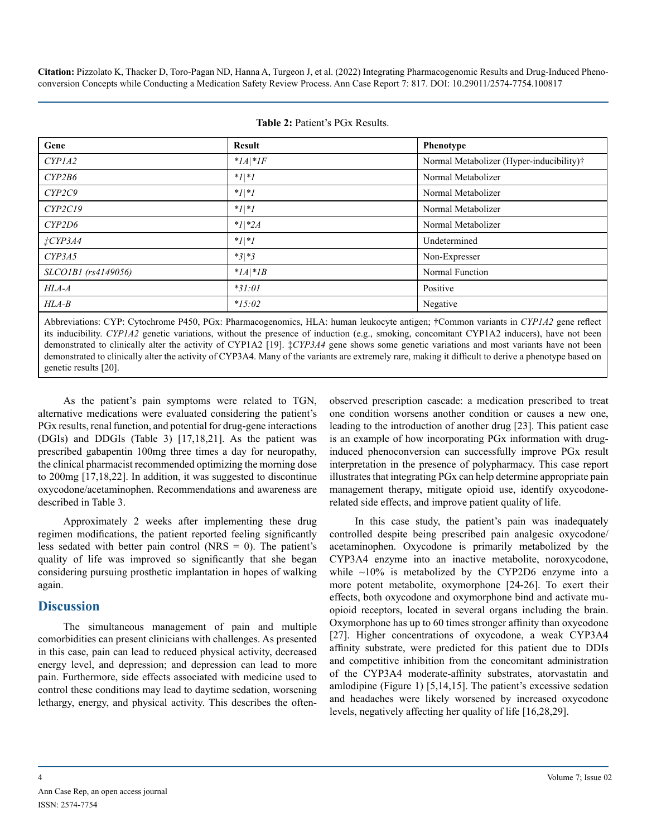| Gene                 | <b>Result</b> | <b>Phenotype</b>                         |
|----------------------|---------------|------------------------------------------|
| CYPIA2               | $*IA *IF$     | Normal Metabolizer (Hyper-inducibility)† |
| CYP2B6               | $*1 *1$       | Normal Metabolizer                       |
| CYP2C9               | $*1 *1$       | Normal Metabolizer                       |
| CYP2C19              | $ I $ */      | Normal Metabolizer                       |
| CYP2D6               | $*1 *2A$      | Normal Metabolizer                       |
| $\frac{1}{4}$ CYP3A4 | $*1 *1$       | Undetermined                             |
| CYP3A5               | $*3 *3$       | Non-Expresser                            |
| SLCO1B1 (rs4149056)  | $*IA *IB$     | Normal Function                          |
| $HLA-A$              | $*31:01$      | Positive                                 |
| $HLA-B$              | $*15:02$      | Negative                                 |

|  | <b>Table 2: Patient's PGx Results.</b> |  |  |
|--|----------------------------------------|--|--|
|--|----------------------------------------|--|--|

Abbreviations: CYP: Cytochrome P450, PGx: Pharmacogenomics, HLA: human leukocyte antigen; †Common variants in *CYP1A2* gene reflect its inducibility. *CYP1A2* genetic variations, without the presence of induction (e.g., smoking, concomitant CYP1A2 inducers), have not been demonstrated to clinically alter the activity of CYP1A2 [19]. ‡*CYP3A4* gene shows some genetic variations and most variants have not been demonstrated to clinically alter the activity of CYP3A4. Many of the variants are extremely rare, making it difficult to derive a phenotype based on genetic results [20].

As the patient's pain symptoms were related to TGN, alternative medications were evaluated considering the patient's PGx results, renal function, and potential for drug-gene interactions (DGIs) and DDGIs (Table 3) [17,18,21]. As the patient was prescribed gabapentin 100mg three times a day for neuropathy, the clinical pharmacist recommended optimizing the morning dose to 200mg [17,18,22]. In addition, it was suggested to discontinue oxycodone/acetaminophen. Recommendations and awareness are described in Table 3.

Approximately 2 weeks after implementing these drug regimen modifications, the patient reported feeling significantly less sedated with better pain control (NRS  $=$  0). The patient's quality of life was improved so significantly that she began considering pursuing prosthetic implantation in hopes of walking again.

## **Discussion**

The simultaneous management of pain and multiple comorbidities can present clinicians with challenges. As presented in this case, pain can lead to reduced physical activity, decreased energy level, and depression; and depression can lead to more pain. Furthermore, side effects associated with medicine used to control these conditions may lead to daytime sedation, worsening lethargy, energy, and physical activity. This describes the oftenobserved prescription cascade: a medication prescribed to treat one condition worsens another condition or causes a new one, leading to the introduction of another drug [23]. This patient case is an example of how incorporating PGx information with druginduced phenoconversion can successfully improve PGx result interpretation in the presence of polypharmacy. This case report illustrates that integrating PGx can help determine appropriate pain management therapy, mitigate opioid use, identify oxycodonerelated side effects, and improve patient quality of life.

In this case study, the patient's pain was inadequately controlled despite being prescribed pain analgesic oxycodone/ acetaminophen. Oxycodone is primarily metabolized by the CYP3A4 enzyme into an inactive metabolite, noroxycodone, while  $\sim$ 10% is metabolized by the CYP2D6 enzyme into a more potent metabolite, oxymorphone [24-26]. To exert their effects, both oxycodone and oxymorphone bind and activate muopioid receptors, located in several organs including the brain. Oxymorphone has up to 60 times stronger affinity than oxycodone [27]. Higher concentrations of oxycodone, a weak CYP3A4 affinity substrate, were predicted for this patient due to DDIs and competitive inhibition from the concomitant administration of the CYP3A4 moderate-affinity substrates, atorvastatin and amlodipine (Figure 1) [5,14,15]. The patient's excessive sedation and headaches were likely worsened by increased oxycodone levels, negatively affecting her quality of life [16,28,29].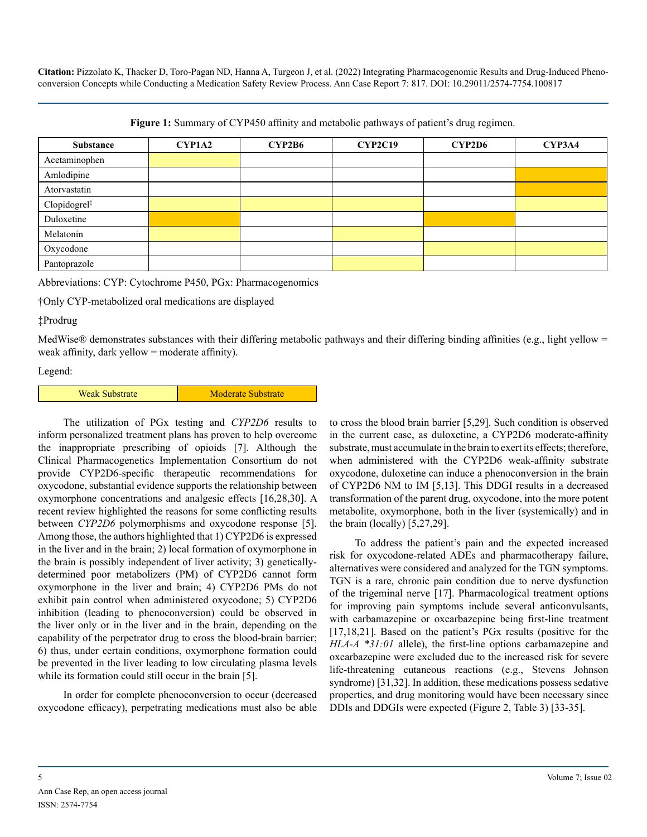| <b>Figure 1:</b> Summary of CYP450 affinity and metabolic pathways of patient's drug regimen. |  |  |
|-----------------------------------------------------------------------------------------------|--|--|
|-----------------------------------------------------------------------------------------------|--|--|

| Substance                | <b>CYP1A2</b> | <b>CYP2B6</b> | <b>CYP2C19</b> | CYP2D6 | CYP3A4 |
|--------------------------|---------------|---------------|----------------|--------|--------|
| Acetaminophen            |               |               |                |        |        |
| Amlodipine               |               |               |                |        |        |
| Atorvastatin             |               |               |                |        |        |
| Clopidogrel <sup>‡</sup> |               |               |                |        |        |
| Duloxetine               |               |               |                |        |        |
| Melatonin                |               |               |                |        |        |
| Oxycodone                |               |               |                |        |        |
| Pantoprazole             |               |               |                |        |        |

Abbreviations: CYP: Cytochrome P450, PGx: Pharmacogenomics

†Only CYP-metabolized oral medications are displayed

‡Prodrug

MedWise® demonstrates substances with their differing metabolic pathways and their differing binding affinities (e.g., light yellow = weak affinity, dark yellow = moderate affinity).

Legend:

| <b>Weak Substrate</b> | <b>Moderate Substrate</b> |
|-----------------------|---------------------------|
|-----------------------|---------------------------|

The utilization of PGx testing and *CYP2D6* results to inform personalized treatment plans has proven to help overcome the inappropriate prescribing of opioids [7]. Although the Clinical Pharmacogenetics Implementation Consortium do not provide CYP2D6-specific therapeutic recommendations for oxycodone, substantial evidence supports the relationship between oxymorphone concentrations and analgesic effects [16,28,30]. A recent review highlighted the reasons for some conflicting results between *CYP2D6* polymorphisms and oxycodone response [5]. Among those, the authors highlighted that 1) CYP2D6 is expressed in the liver and in the brain; 2) local formation of oxymorphone in the brain is possibly independent of liver activity; 3) geneticallydetermined poor metabolizers (PM) of CYP2D6 cannot form oxymorphone in the liver and brain; 4) CYP2D6 PMs do not exhibit pain control when administered oxycodone; 5) CYP2D6 inhibition (leading to phenoconversion) could be observed in the liver only or in the liver and in the brain, depending on the capability of the perpetrator drug to cross the blood-brain barrier; 6) thus, under certain conditions, oxymorphone formation could be prevented in the liver leading to low circulating plasma levels while its formation could still occur in the brain [5].

In order for complete phenoconversion to occur (decreased oxycodone efficacy), perpetrating medications must also be able to cross the blood brain barrier [5,29]. Such condition is observed in the current case, as duloxetine, a CYP2D6 moderate-affinity substrate, must accumulate in the brain to exert its effects; therefore, when administered with the CYP2D6 weak-affinity substrate oxycodone, duloxetine can induce a phenoconversion in the brain of CYP2D6 NM to IM [5,13]. This DDGI results in a decreased transformation of the parent drug, oxycodone, into the more potent metabolite, oxymorphone, both in the liver (systemically) and in the brain (locally) [5,27,29].

To address the patient's pain and the expected increased risk for oxycodone-related ADEs and pharmacotherapy failure, alternatives were considered and analyzed for the TGN symptoms. TGN is a rare, chronic pain condition due to nerve dysfunction of the trigeminal nerve [17]. Pharmacological treatment options for improving pain symptoms include several anticonvulsants, with carbamazepine or oxcarbazepine being first-line treatment [17,18,21]. Based on the patient's PGx results (positive for the *HLA-A \*31:01* allele), the first-line options carbamazepine and oxcarbazepine were excluded due to the increased risk for severe life-threatening cutaneous reactions (e.g., Stevens Johnson syndrome) [31,32]. In addition, these medications possess sedative properties, and drug monitoring would have been necessary since DDIs and DDGIs were expected (Figure 2, Table 3) [33-35].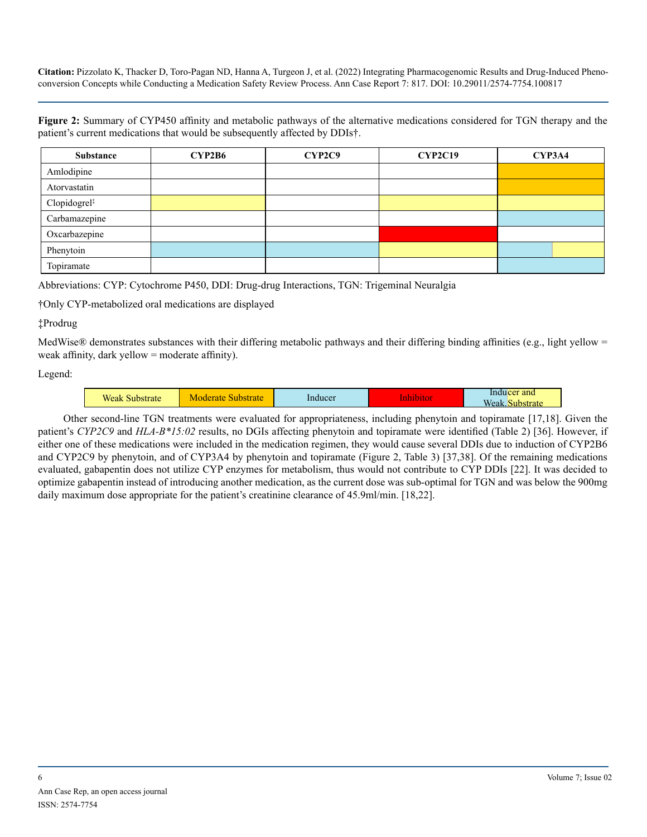**Figure 2:** Summary of CYP450 affinity and metabolic pathways of the alternative medications considered for TGN therapy and the patient's current medications that would be subsequently affected by DDIs†.

| <b>Substance</b>         | <b>CYP2B6</b> | CYP2C9 | <b>CYP2C19</b> | CYP3A4 |
|--------------------------|---------------|--------|----------------|--------|
| Amlodipine               |               |        |                |        |
| Atorvastatin             |               |        |                |        |
| Clopidogrel <sup>#</sup> |               |        |                |        |
| Carbamazepine            |               |        |                |        |
| Oxcarbazepine            |               |        |                |        |
| Phenytoin                |               |        |                |        |
| Topiramate               |               |        |                |        |

Abbreviations: CYP: Cytochrome P450, DDI: Drug-drug Interactions, TGN: Trigeminal Neuralgia

†Only CYP-metabolized oral medications are displayed

#### ‡Prodrug

MedWise® demonstrates substances with their differing metabolic pathways and their differing binding affinities (e.g., light yellow = weak affinity, dark yellow = moderate affinity).

Legend:

| <b>TT:</b><br>'eak<br>the first continuous and the<br>raic | 74 I G | Inducer | .<br>------ | $-$<br>and.<br><b>Service</b><br><b>CONTRACTOR</b> |
|------------------------------------------------------------|--------|---------|-------------|----------------------------------------------------|
|                                                            |        |         |             |                                                    |

Other second-line TGN treatments were evaluated for appropriateness, including phenytoin and topiramate [17,18]. Given the patient's *CYP2C9* and *HLA-B\*15:02* results, no DGIs affecting phenytoin and topiramate were identified (Table 2) [36]. However, if either one of these medications were included in the medication regimen, they would cause several DDIs due to induction of CYP2B6 and CYP2C9 by phenytoin, and of CYP3A4 by phenytoin and topiramate (Figure 2, Table 3) [37,38]. Of the remaining medications evaluated, gabapentin does not utilize CYP enzymes for metabolism, thus would not contribute to CYP DDIs [22]. It was decided to optimize gabapentin instead of introducing another medication, as the current dose was sub-optimal for TGN and was below the 900mg daily maximum dose appropriate for the patient's creatinine clearance of 45.9ml/min. [18,22].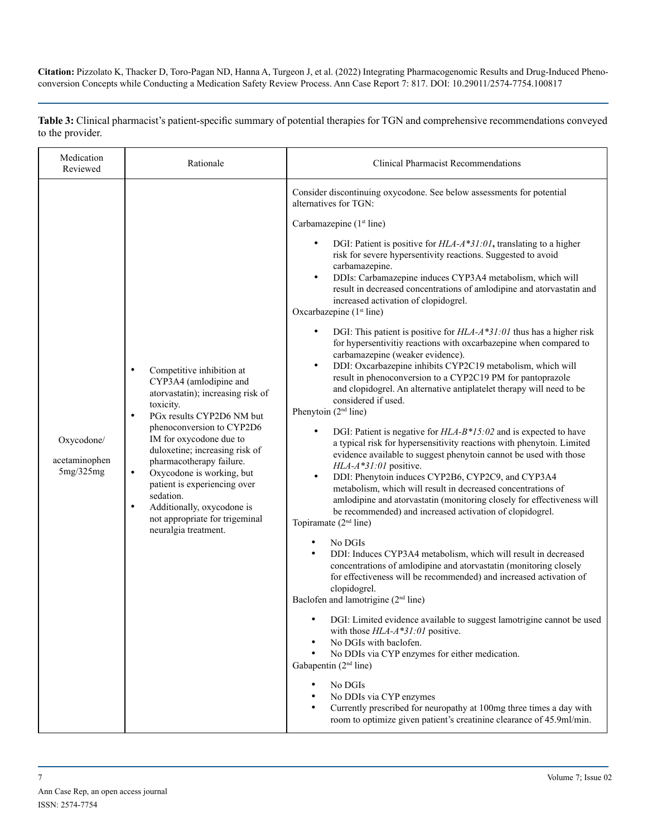**Table 3:** Clinical pharmacist's patient-specific summary of potential therapies for TGN and comprehensive recommendations conveyed to the provider.

| Medication<br>Reviewed                   | Rationale                                                                                                                                                                                                                                                                                                                                                                                                                                                                      | <b>Clinical Pharmacist Recommendations</b>                                                                                                                                                                                                                                                                                                                                                                                                                                                                                                                                                                                                                                                                                                                                                                                                                                                                                                                                                                                                                                                                                                                                                                                                                                                                                                                                                                                                                                                                                                                                                                                                                                                                                                                                                                                                                                                                                                                                                                                                                                                                                                                                                                                                                                                                                                |
|------------------------------------------|--------------------------------------------------------------------------------------------------------------------------------------------------------------------------------------------------------------------------------------------------------------------------------------------------------------------------------------------------------------------------------------------------------------------------------------------------------------------------------|-------------------------------------------------------------------------------------------------------------------------------------------------------------------------------------------------------------------------------------------------------------------------------------------------------------------------------------------------------------------------------------------------------------------------------------------------------------------------------------------------------------------------------------------------------------------------------------------------------------------------------------------------------------------------------------------------------------------------------------------------------------------------------------------------------------------------------------------------------------------------------------------------------------------------------------------------------------------------------------------------------------------------------------------------------------------------------------------------------------------------------------------------------------------------------------------------------------------------------------------------------------------------------------------------------------------------------------------------------------------------------------------------------------------------------------------------------------------------------------------------------------------------------------------------------------------------------------------------------------------------------------------------------------------------------------------------------------------------------------------------------------------------------------------------------------------------------------------------------------------------------------------------------------------------------------------------------------------------------------------------------------------------------------------------------------------------------------------------------------------------------------------------------------------------------------------------------------------------------------------------------------------------------------------------------------------------------------------|
| Oxycodone/<br>acetaminophen<br>5mg/325mg | $\bullet$<br>Competitive inhibition at<br>CYP3A4 (amlodipine and<br>atorvastatin); increasing risk of<br>toxicity.<br>PGx results CYP2D6 NM but<br>$\bullet$<br>phenoconversion to CYP2D6<br>IM for oxycodone due to<br>duloxetine; increasing risk of<br>pharmacotherapy failure.<br>Oxycodone is working, but<br>$\bullet$<br>patient is experiencing over<br>sedation.<br>Additionally, oxycodone is<br>$\bullet$<br>not appropriate for trigeminal<br>neuralgia treatment. | Consider discontinuing oxycodone. See below assessments for potential<br>alternatives for TGN:<br>Carbamazepine (1 <sup>st</sup> line)<br>$\bullet$<br>DGI: Patient is positive for $HLA - A * 31:01$ , translating to a higher<br>risk for severe hypersentivity reactions. Suggested to avoid<br>carbamazepine.<br>DDIs: Carbamazepine induces CYP3A4 metabolism, which will<br>$\bullet$<br>result in decreased concentrations of amlodipine and atorvastatin and<br>increased activation of clopidogrel.<br>Oxcarbazepine (1 <sup>st</sup> line)<br>DGI: This patient is positive for $HLA - A * 31:01$ thus has a higher risk<br>$\bullet$<br>for hypersentivitiy reactions with oxcarbazepine when compared to<br>carbamazepine (weaker evidence).<br>DDI: Oxcarbazepine inhibits CYP2C19 metabolism, which will<br>$\bullet$<br>result in phenoconversion to a CYP2C19 PM for pantoprazole<br>and clopidogrel. An alternative antiplatelet therapy will need to be<br>considered if used.<br>Phenytoin $(2nd$ line)<br>DGI: Patient is negative for $HLA-B*15:02$ and is expected to have<br>$\bullet$<br>a typical risk for hypersensitivity reactions with phenytoin. Limited<br>evidence available to suggest phenytoin cannot be used with those<br>HLA-A*31:01 positive.<br>DDI: Phenytoin induces CYP2B6, CYP2C9, and CYP3A4<br>$\bullet$<br>metabolism, which will result in decreased concentrations of<br>amlodipine and atorvastatin (monitoring closely for effectiveness will<br>be recommended) and increased activation of clopidogrel.<br>Topiramate (2 <sup>nd</sup> line)<br>No DGIs<br>$\bullet$<br>DDI: Induces CYP3A4 metabolism, which will result in decreased<br>$\bullet$<br>concentrations of amlodipine and atorvastatin (monitoring closely<br>for effectiveness will be recommended) and increased activation of<br>clopidogrel.<br>Baclofen and lamotrigine (2 <sup>nd</sup> line)<br>DGI: Limited evidence available to suggest lamotrigine cannot be used<br>with those HLA-A*31:01 positive.<br>No DGIs with baclofen.<br>No DDIs via CYP enzymes for either medication.<br>Gabapentin (2 <sup>nd</sup> line)<br>No DGIs<br>No DDIs via CYP enzymes<br>Currently prescribed for neuropathy at 100mg three times a day with<br>room to optimize given patient's creatinine clearance of 45.9ml/min. |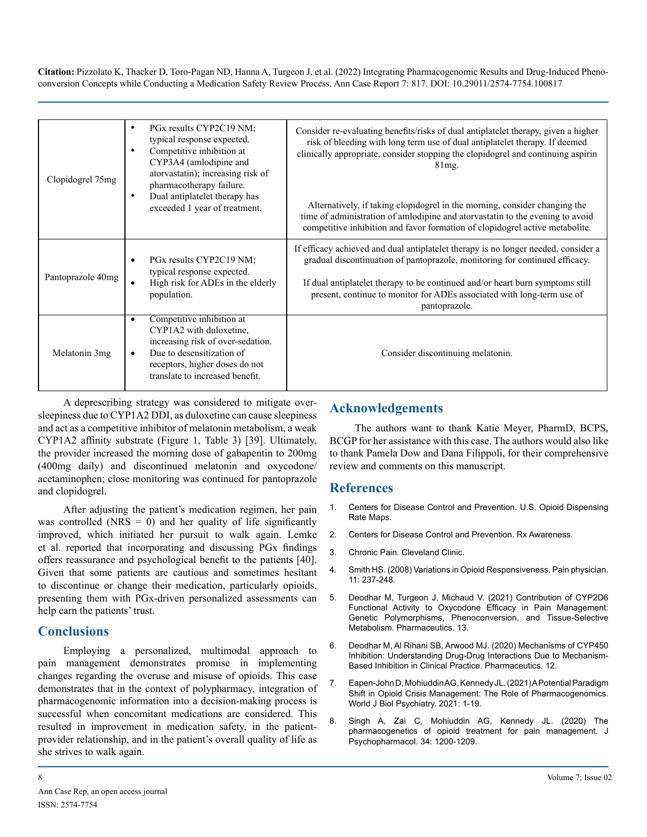| Clopidogrel 75mg  | PGx results CYP2C19 NM;<br>$\bullet$<br>typical response expected.<br>Competitive inhibition at<br>$\bullet$<br>CYP3A4 (amlodipine and<br>atorvastatin); increasing risk of<br>pharmacotherapy failure.<br>Dual antiplatelet therapy has<br>$\bullet$<br>exceeded 1 year of treatment. | Consider re-evaluating benefits/risks of dual antiplatelet therapy, given a higher<br>risk of bleeding with long term use of dual antiplatelet therapy. If deemed<br>clinically appropriate, consider stopping the clopidogrel and continuing aspirin<br>$81mg$ .<br>Alternatively, if taking clopidogrel in the morning, consider changing the<br>time of administration of amlodipine and atorvastatin to the evening to avoid<br>competitive inhibition and favor formation of clopidogrel active metabolite. |
|-------------------|----------------------------------------------------------------------------------------------------------------------------------------------------------------------------------------------------------------------------------------------------------------------------------------|------------------------------------------------------------------------------------------------------------------------------------------------------------------------------------------------------------------------------------------------------------------------------------------------------------------------------------------------------------------------------------------------------------------------------------------------------------------------------------------------------------------|
| Pantoprazole 40mg | PGx results CYP2C19 NM;<br>$\bullet$<br>typical response expected.<br>High risk for ADEs in the elderly<br>$\bullet$<br>population.                                                                                                                                                    | If efficacy achieved and dual antiplatelet therapy is no longer needed, consider a<br>gradual discontinuation of pantoprazole, monitoring for continued efficacy.<br>If dual antiplatelet therapy to be continued and/or heart burn symptoms still<br>present, continue to monitor for ADEs associated with long-term use of<br>pantoprazole.                                                                                                                                                                    |
| Melatonin 3mg     | Competitive inhibition at<br>$\bullet$<br>CYP1A2 with duloxetine,<br>increasing risk of over-sedation.<br>Due to desensitization of<br>$\bullet$<br>receptors, higher doses do not<br>translate to increased benefit.                                                                  | Consider discontinuing melatonin.                                                                                                                                                                                                                                                                                                                                                                                                                                                                                |

A deprescribing strategy was considered to mitigate oversleepiness due to CYP1A2 DDI, as duloxetine can cause sleepiness and act as a competitive inhibitor of melatonin metabolism, a weak CYP1A2 affinity substrate (Figure 1, Table 3) [39]. Ultimately, the provider increased the morning dose of gabapentin to 200mg (400mg daily) and discontinued melatonin and oxycodone/ acetaminophen; close monitoring was continued for pantoprazole and clopidogrel.

After adjusting the patient's medication regimen, her pain was controlled ( $NRS = 0$ ) and her quality of life significantly improved, which initiated her pursuit to walk again. Lemke et al. reported that incorporating and discussing PGx findings offers reassurance and psychological benefit to the patients [40]. Given that some patients are cautious and sometimes hesitant to discontinue or change their medication, particularly opioids, presenting them with PGx-driven personalized assessments can help earn the patients' trust.

## **Conclusions**

Employing a personalized, multimodal approach to pain management demonstrates promise in implementing changes regarding the overuse and misuse of opioids. This case demonstrates that in the context of polypharmacy, integration of pharmacogenomic information into a decision-making process is successful when concomitant medications are considered. This resulted in improvement in medication safety, in the patientprovider relationship, and in the patient's overall quality of life as she strives to walk again.

## **Acknowledgements**

The authors want to thank Katie Meyer, PharmD, BCPS, BCGP for her assistance with this case. The authors would also like to thank Pamela Dow and Dana Filippoli, for their comprehensive review and comments on this manuscript.

#### **References**

- 1. [Centers for Disease Control and Prevention. U.S. Opioid Dispensing](https://www.cdc.gov/drugoverdose/rxrate-maps/index.html)  [Rate Maps.](https://www.cdc.gov/drugoverdose/rxrate-maps/index.html)
- 2. [Centers for Disease Control and Prevention. Rx Awareness.](https://www.cdc.gov/rxawareness/information/index.html)
- 3. [Chronic Pain. Cleveland Clinic.](https://my.clevelandclinic.org/health/diseases/4798-chronic-pain)
- 4. Smith HS. (2008) Variations in Opioid Responsiveness. Pain physician. 11: 237-248.
- 5. [Deodhar M, Turgeon J, Michaud V. \(2021\) Contribution of CYP2D6](https://pubmed.ncbi.nlm.nih.gov/34575542/)  [Functional Activity to Oxycodone Efficacy in Pain Management:](https://pubmed.ncbi.nlm.nih.gov/34575542/)  [Genetic Polymorphisms, Phenoconversion, and Tissue-Selective](https://pubmed.ncbi.nlm.nih.gov/34575542/)  [Metabolism. Pharmaceutics. 13.](https://pubmed.ncbi.nlm.nih.gov/34575542/)
- 6. [Deodhar M, Al Rihani SB, Arwood MJ. \(2020\) Mechanisms of CYP450](https://pubmed.ncbi.nlm.nih.gov/32899642/)  [Inhibition: Understanding Drug-Drug Interactions Due to Mechanism-](https://pubmed.ncbi.nlm.nih.gov/32899642/)[Based Inhibition in Clinical Practice. Pharmaceutics. 12.](https://pubmed.ncbi.nlm.nih.gov/32899642/)
- 7. [Eapen-John D, Mohiuddin AG, Kennedy JL. \(2021\) A Potential Paradigm](https://pubmed.ncbi.nlm.nih.gov/34854362/)  [Shift in Opioid Crisis Management: The Role of Pharmacogenomics.](https://pubmed.ncbi.nlm.nih.gov/34854362/)  [World J Biol Psychiatry. 2021: 1-19.](https://pubmed.ncbi.nlm.nih.gov/34854362/)
- 8. [Singh A, Zai C, Mohiuddin AG, Kennedy JL. \(2020\) The](https://pubmed.ncbi.nlm.nih.gov/32715846/) [pharmacogenetics of opioid treatment for pain management. J](https://pubmed.ncbi.nlm.nih.gov/32715846/)  [Psychopharmacol. 34: 1200-1209.](https://pubmed.ncbi.nlm.nih.gov/32715846/)